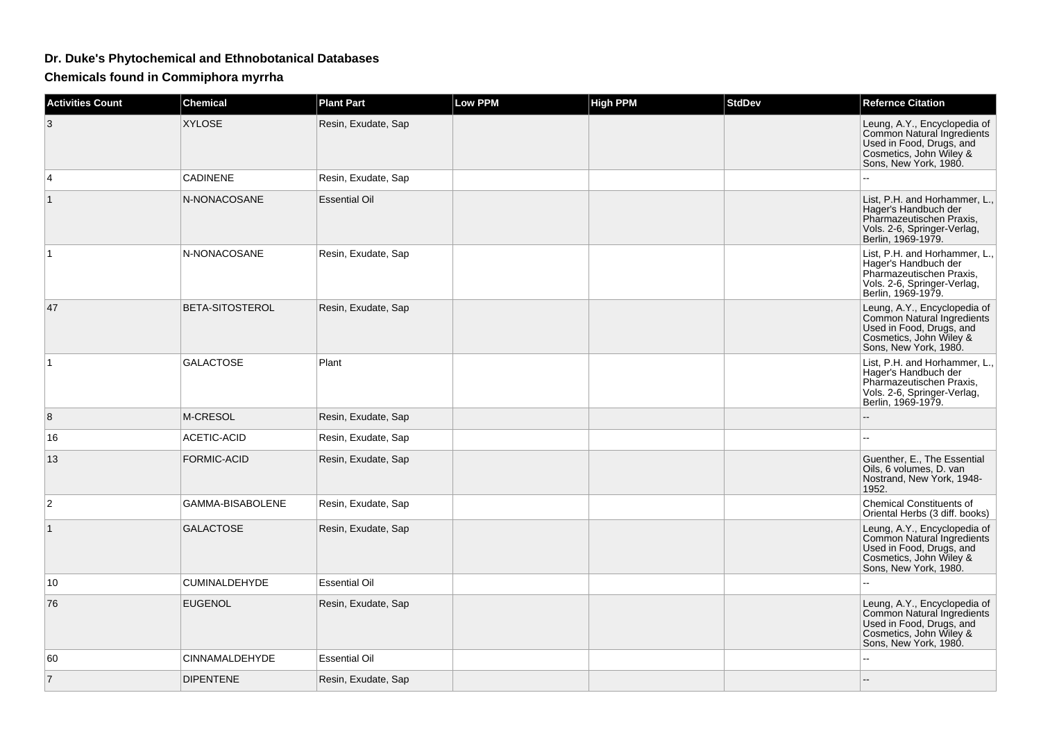## **Dr. Duke's Phytochemical and Ethnobotanical Databases**

**Chemicals found in Commiphora myrrha**

| <b>Activities Count</b> | <b>Chemical</b>        | <b>Plant Part</b>    | <b>Low PPM</b> | <b>High PPM</b> | <b>StdDev</b> | <b>Refernce Citation</b>                                                                                                                   |
|-------------------------|------------------------|----------------------|----------------|-----------------|---------------|--------------------------------------------------------------------------------------------------------------------------------------------|
| 3                       | <b>XYLOSE</b>          | Resin, Exudate, Sap  |                |                 |               | Leung, A.Y., Encyclopedia of<br>Common Natural Ingredients<br>Used in Food, Drugs, and<br>Cosmetics, John Wiley &<br>Sons, New York, 1980. |
| 4                       | <b>CADINENE</b>        | Resin, Exudate, Sap  |                |                 |               |                                                                                                                                            |
| $\mathbf{1}$            | N-NONACOSANE           | <b>Essential Oil</b> |                |                 |               | List, P.H. and Horhammer, L.,<br>Hager's Handbuch der<br>Pharmazeutischen Praxis,<br>Vols. 2-6, Springer-Verlag,<br>Berlin, 1969-1979.     |
| 1                       | N-NONACOSANE           | Resin, Exudate, Sap  |                |                 |               | List, P.H. and Horhammer, L.,<br>Hager's Handbuch der<br>Pharmazeutischen Praxis,<br>Vols. 2-6, Springer-Verlag,<br>Berlin, 1969-1979.     |
| 47                      | <b>BETA-SITOSTEROL</b> | Resin, Exudate, Sap  |                |                 |               | Leung, A.Y., Encyclopedia of<br>Common Natural Ingredients<br>Used in Food, Drugs, and<br>Cosmetics, John Wiley &<br>Sons, New York, 1980. |
| $\mathbf{1}$            | <b>GALACTOSE</b>       | Plant                |                |                 |               | List, P.H. and Horhammer, L.,<br>Hager's Handbuch der<br>Pharmazeutischen Praxis,<br>Vols. 2-6, Springer-Verlag,<br>Berlin, 1969-1979.     |
| 8                       | <b>M-CRESOL</b>        | Resin, Exudate, Sap  |                |                 |               |                                                                                                                                            |
| 16                      | <b>ACETIC-ACID</b>     | Resin, Exudate, Sap  |                |                 |               |                                                                                                                                            |
| 13                      | <b>FORMIC-ACID</b>     | Resin, Exudate, Sap  |                |                 |               | Guenther, E., The Essential<br>Oils, 6 volumes, D. van<br>Nostrand, New York, 1948-<br>1952.                                               |
| 2                       | GAMMA-BISABOLENE       | Resin, Exudate, Sap  |                |                 |               | <b>Chemical Constituents of</b><br>Oriental Herbs (3 diff. books)                                                                          |
|                         | <b>GALACTOSE</b>       | Resin, Exudate, Sap  |                |                 |               | Leung, A.Y., Encyclopedia of<br>Common Natural Ingredients<br>Used in Food, Drugs, and<br>Cosmetics, John Wiley &<br>Sons, New York, 1980. |
| 10                      | CUMINALDEHYDE          | <b>Essential Oil</b> |                |                 |               |                                                                                                                                            |
| 76                      | <b>EUGENOL</b>         | Resin, Exudate, Sap  |                |                 |               | Leung, A.Y., Encyclopedia of<br>Common Natural Ingredients<br>Used in Food, Drugs, and<br>Cosmetics, John Wiley &<br>Sons, New York, 1980. |
| 60                      | CINNAMALDEHYDE         | <b>Essential Oil</b> |                |                 |               |                                                                                                                                            |
| $\overline{7}$          | <b>DIPENTENE</b>       | Resin, Exudate, Sap  |                |                 |               |                                                                                                                                            |